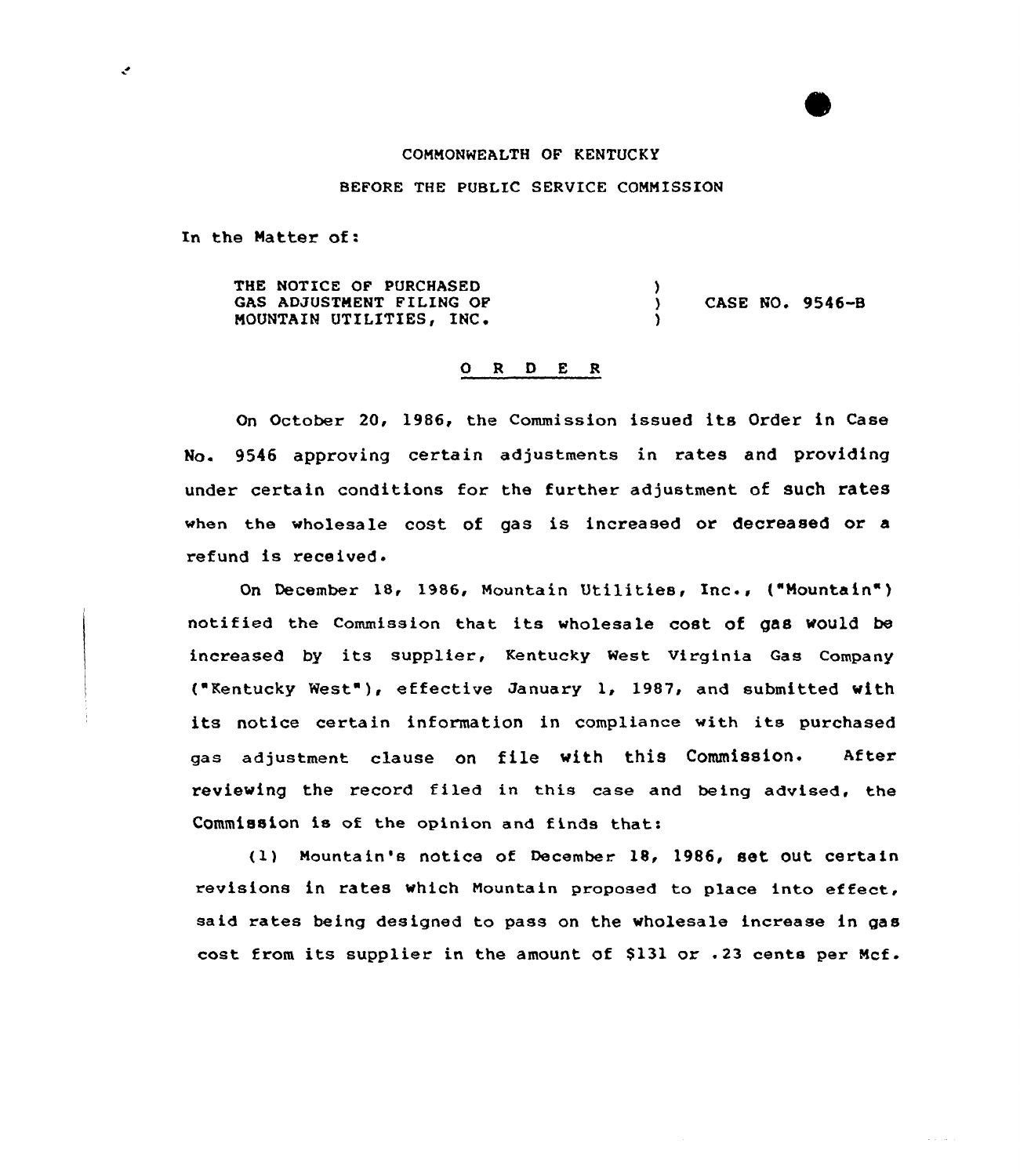#### COMNONWEALTH OF KENTUC KY

### BEFORE THE PUBLIC SERVICE COMMISSION

In the Natter of:

 $\mathcal{C}$ 

THE NOTICE OF PURCHASED GAS ADJUSTMENT FILING OF MOUNTAIN UTILITIES, INC+ ) ) CASE NO. 9546-B )

# 0 <sup>R</sup> <sup>D</sup> E <sup>R</sup>

On October 20, 1986, the Commission issued its Order in Case No. 9546 approving certain adjustments in rates and providing under certain conditions for the further adjustment of such rates when the wholesale cost of gas is increased or decreased or a refund is received.

On December 18, 1986, Mountain Utilities, Inc., ("Mountain") notified the commission that its wholesale cost of gae would be increased by its supplier, Kentucky West Virginia Gas Company ("Kentucky West" ), effective January 1, 1987, and submitted with its notice certain information in compliance with its purchased gas adjustment clause on file with this Commission. After reviewing the record filed in this case and being advised, the Commission is of the opinion and finds that:

(1) Mountain's notice of December. 1B, 19S6, set out certain revisions in rates which Nountain proposed to place into effect, said rates being designed to pass on the wholesale increase in gas cost from its supplier in the amount of \$131 or  $.23$  cents per Mcf.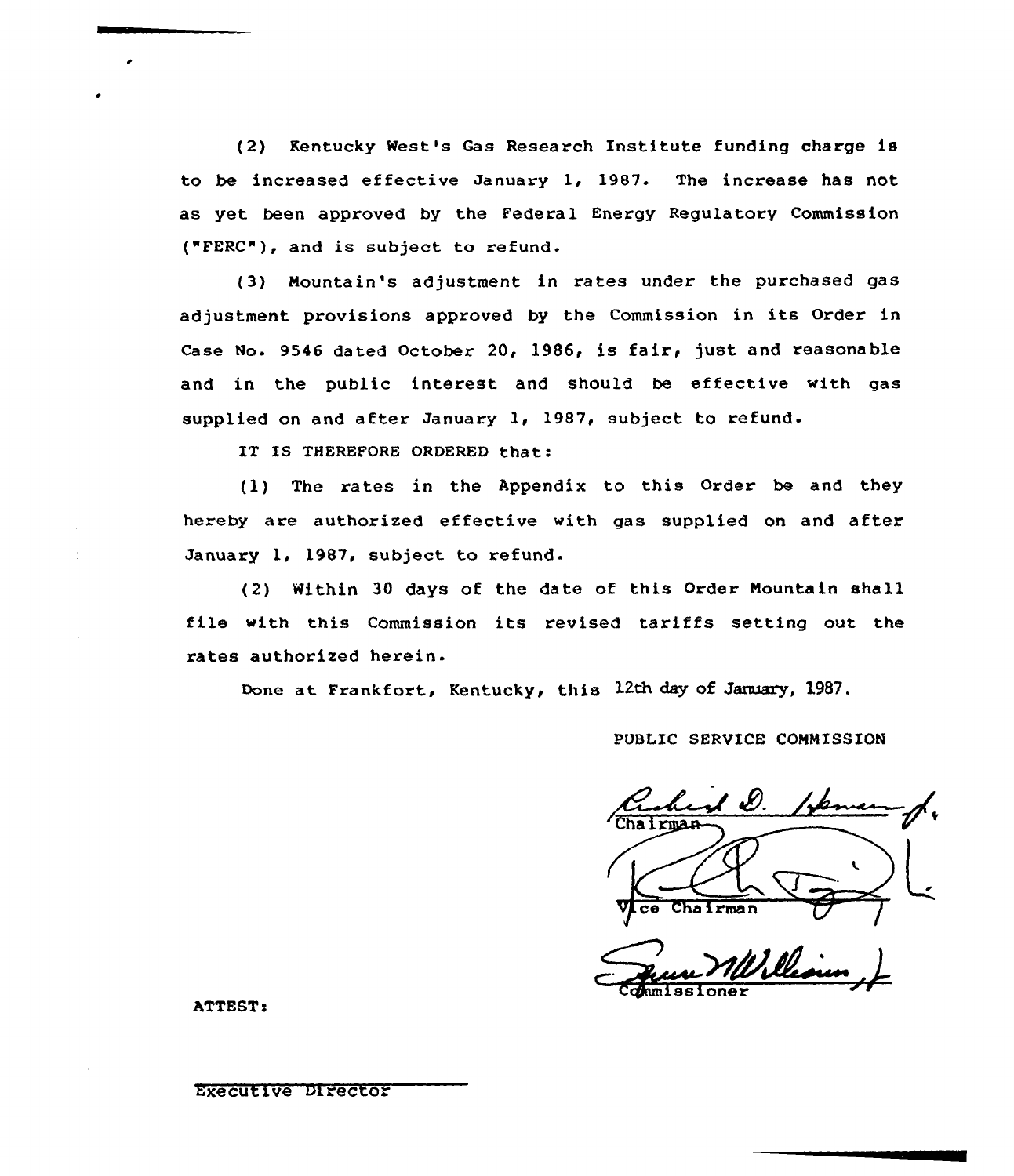(2) Kentucky West's Gas Research Institute funding charge is to be increased effective January 1, 1987. The increase has not as yet been approved by the Federal Energy Regulatory Commission ("FERC"), and is subject to refund-

(3) Mountain's adjustment in rates under the purchased gas adjustment provisions approved by the Commission in its Order in Case No. 9546 dated October 20, 1986, is fair, just and reasonable and in the public interest and should be effective with gas supplied on and after January 1, 1987, subject to refund.

IT IS THEREFORE ORDERED that:

 $(1)$  The rates in the Appendix to this Order be and they hereby are authorized effective with gas supplied on and after January 1, 1987, subject to refund.

(2) Within 30 days of the date of this Order Mountain shall file with this Commission its revised tariffs setting out the rates authorized herein.

Done at Frankfort, Kentucky, this 12th day of January, 1987.

### PUBLIC SERVICE COMMISSION

airman V<sub>ce</sub> Chairman /

Commissioner

ATTEST:

# EXeCutiVe Director